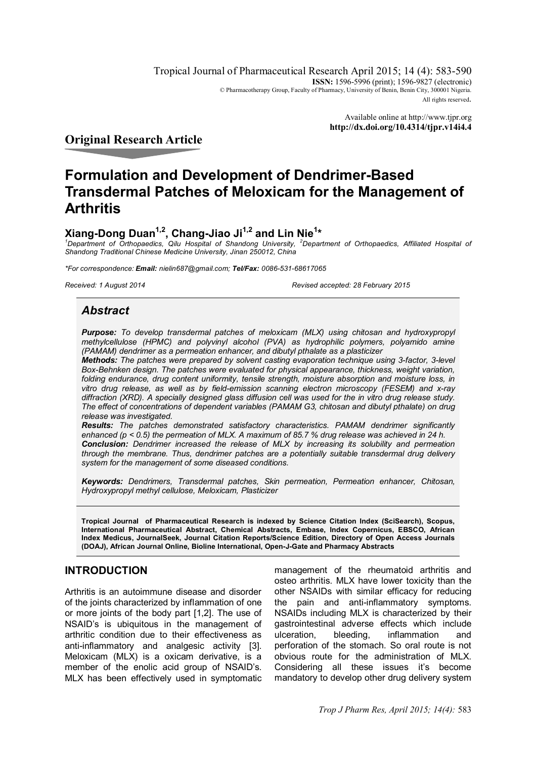Tropical Journal of Pharmaceutical Research April 2015; 14 (4): 583-590 **ISSN:** 1596-5996 (print): 1596-9827 (electronic) © Pharmacotherapy Group, Faculty of Pharmacy, University of Benin, Benin City, 300001 Nigeria. All rights reserved.

> Available online at http://www.tjpr.org **http://dx.doi.org/10.4314/tjpr.v14i4.4**

**Original Research Article**

# **Formulation and Development of Dendrimer-Based Transdermal Patches of Meloxicam for the Management of Arthritis**

# **Xiang-Dong Duan1,2, Chang-Jiao Ji1,2 and Lin Nie<sup>1</sup> \***

*<sup>1</sup>Department of Orthopaedics, Qilu Hospital of Shandong University, <sup>2</sup>Department of Orthopaedics, Affiliated Hospital of Shandong Traditional Chinese Medicine University, Jinan 250012, China*

*\*For correspondence: Email: nielin687@gmail.com; Tel/Fax: 0086-531-68617065*

*Received: 1 August 2014 Revised accepted: 28 February 2015*

# *Abstract*

*Purpose: To develop transdermal patches of meloxicam (MLX) using chitosan and hydroxypropyl methylcellulose (HPMC) and polyvinyl alcohol (PVA) as hydrophilic polymers, polyamido amine (PAMAM) dendrimer as a permeation enhancer, and dibutyl pthalate as a plasticizer* 

*Methods: The patches were prepared by solvent casting evaporation technique using 3-factor, 3-level Box-Behnken design. The patches were evaluated for physical appearance, thickness, weight variation, folding endurance, drug content uniformity, tensile strength, moisture absorption and moisture loss, in vitro drug release, as well as by field-emission scanning electron microscopy (FESEM) and x-ray diffraction (XRD). A specially designed glass diffusion cell was used for the in vitro drug release study. The effect of concentrations of dependent variables (PAMAM G3, chitosan and dibutyl pthalate) on drug release was investigated.*

*Results: The patches demonstrated satisfactory characteristics. PAMAM dendrimer significantly enhanced (p < 0.5) the permeation of MLX. A maximum of 85.7 % drug release was achieved in 24 h. Conclusion: Dendrimer increased the release of MLX by increasing its solubility and permeation through the membrane. Thus, dendrimer patches are a potentially suitable transdermal drug delivery system for the management of some diseased conditions.*

*Keywords: Dendrimers, Transdermal patches, Skin permeation, Permeation enhancer, Chitosan, Hydroxypropyl methyl cellulose, Meloxicam, Plasticizer*

**Tropical Journal of Pharmaceutical Research is indexed by Science Citation Index (SciSearch), Scopus, International Pharmaceutical Abstract, Chemical Abstracts, Embase, Index Copernicus, EBSCO, African Index Medicus, JournalSeek, Journal Citation Reports/Science Edition, Directory of Open Access Journals (DOAJ), African Journal Online, Bioline International, Open-J-Gate and Pharmacy Abstracts**

# **INTRODUCTION**

Arthritis is an autoimmune disease and disorder of the joints characterized by inflammation of one or more joints of the body part [1,2]. The use of NSAID's is ubiquitous in the management of arthritic condition due to their effectiveness as anti-inflammatory and analgesic activity [3]. Meloxicam (MLX) is a oxicam derivative, is a member of the enolic acid group of NSAID's. MLX has been effectively used in symptomatic

management of the rheumatoid arthritis and osteo arthritis. MLX have lower toxicity than the other NSAIDs with similar efficacy for reducing the pain and anti-inflammatory symptoms. NSAIDs including MLX is characterized by their gastrointestinal adverse effects which include ulceration, bleeding, inflammation and perforation of the stomach. So oral route is not obvious route for the administration of MLX. Considering all these issues it's become mandatory to develop other drug delivery system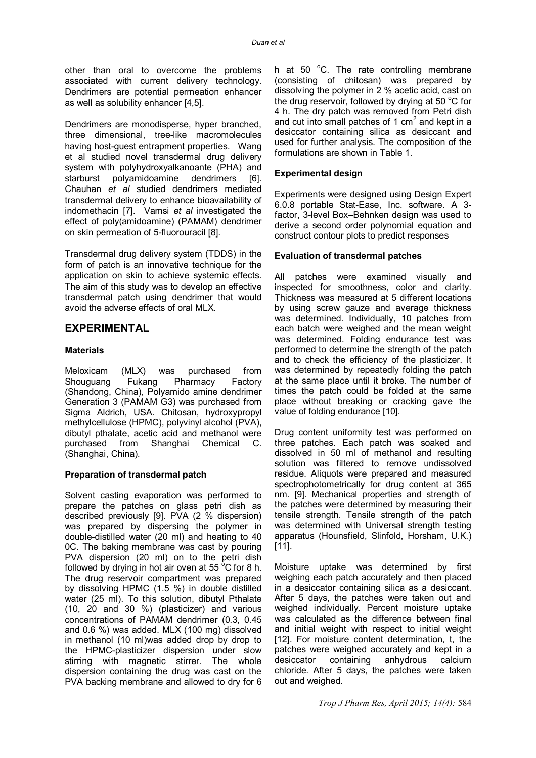other than oral to overcome the problems associated with current delivery technology. Dendrimers are potential permeation enhancer as well as solubility enhancer [4,5].

Dendrimers are monodisperse, hyper branched, three dimensional, tree-like macromolecules having host-guest entrapment properties. Wang et al studied novel transdermal drug delivery system with polyhydroxyalkanoante (PHA) and starburst polyamidoamine dendrimers [6]. Chauhan *et al* studied dendrimers mediated transdermal delivery to enhance bioavailability of indomethacin [7]. Vamsi *et al* investigated the effect of poly(amidoamine) (PAMAM) dendrimer on skin permeation of 5-fluorouracil [8].

Transdermal drug delivery system (TDDS) in the form of patch is an innovative technique for the application on skin to achieve systemic effects. The aim of this study was to develop an effective transdermal patch using dendrimer that would avoid the adverse effects of oral MLX.

### **EXPERIMENTAL**

#### **Materials**

Meloxicam (MLX) was purchased from Shouguang Fukang Pharmacy Factory (Shandong, China), Polyamido amine dendrimer Generation 3 (PAMAM G3) was purchased from Sigma Aldrich, USA. Chitosan, hydroxypropyl methylcellulose (HPMC), polyvinyl alcohol (PVA), dibutyl pthalate, acetic acid and methanol were purchased from Shanghai Chemical C. (Shanghai, China).

#### **Preparation of transdermal patch**

Solvent casting evaporation was performed to prepare the patches on glass petri dish as described previously [9]. PVA (2 % dispersion) was prepared by dispersing the polymer in double-distilled water (20 ml) and heating to 40 0C. The baking membrane was cast by pouring PVA dispersion (20 ml) on to the petri dish followed by drying in hot air oven at 55  $\mathrm{^{\circ}C}$  for 8 h. The drug reservoir compartment was prepared by dissolving HPMC (1.5 %) in double distilled water (25 ml). To this solution, dibutyl Pthalate (10, 20 and 30 %) (plasticizer) and various concentrations of PAMAM dendrimer (0.3, 0.45 and 0.6 %) was added. MLX (100 mg) dissolved in methanol (10 ml)was added drop by drop to the HPMC-plasticizer dispersion under slow stirring with magnetic stirrer. The whole dispersion containing the drug was cast on the PVA backing membrane and allowed to dry for 6

h at 50  $^{\circ}$ C. The rate controlling membrane (consisting of chitosan) was prepared by dissolving the polymer in 2 % acetic acid, cast on the drug reservoir, followed by drying at 50  $\mathrm{^{\circ}C}$  for 4 h. The dry patch was removed from Petri dish and cut into small patches of 1  $\text{cm}^2$  and kept in a desiccator containing silica as desiccant and used for further analysis. The composition of the formulations are shown in Table 1.

#### **Experimental design**

Experiments were designed using Design Expert 6.0.8 portable Stat-Ease, Inc. software. A 3 factor, 3-level Box–Behnken design was used to derive a second order polynomial equation and construct contour plots to predict responses

#### **Evaluation of transdermal patches**

All patches were examined visually and inspected for smoothness, color and clarity. Thickness was measured at 5 different locations by using screw gauze and average thickness was determined. Individually, 10 patches from each batch were weighed and the mean weight was determined. Folding endurance test was performed to determine the strength of the patch and to check the efficiency of the plasticizer. It was determined by repeatedly folding the patch at the same place until it broke. The number of times the patch could be folded at the same place without breaking or cracking gave the value of folding endurance [10].

Drug content uniformity test was performed on three patches. Each patch was soaked and dissolved in 50 ml of methanol and resulting solution was filtered to remove undissolved residue. Aliquots were prepared and measured spectrophotometrically for drug content at 365 nm. [9]. Mechanical properties and strength of the patches were determined by measuring their tensile strength. Tensile strength of the patch was determined with Universal strength testing apparatus (Hounsfield, Slinfold, Horsham, U.K.) [11].

Moisture uptake was determined by first weighing each patch accurately and then placed in a desiccator containing silica as a desiccant. After 5 days, the patches were taken out and weighed individually. Percent moisture uptake was calculated as the difference between final and initial weight with respect to initial weight [12]. For moisture content determination, t. the patches were weighed accurately and kept in a desiccator containing anhydrous calcium chloride. After 5 days, the patches were taken out and weighed.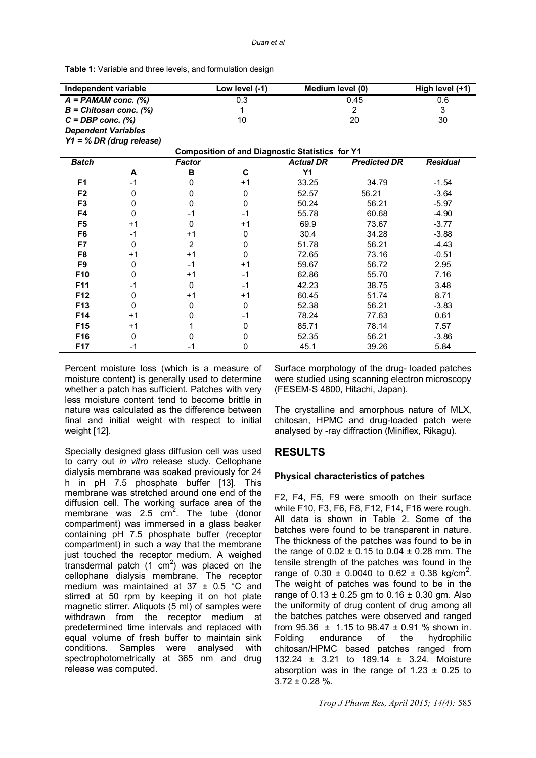**Table 1:** Variable and three levels, and formulation design

| Independent variable                                   |      | Low level (-1) |             | Medium level (0)                        |       | High level (+1) |  |
|--------------------------------------------------------|------|----------------|-------------|-----------------------------------------|-------|-----------------|--|
| $A = PAMAM$ conc. $(\%)$                               |      |                | 0.3<br>0.45 |                                         |       | 0.6             |  |
| $B = Chitosan conc.$ (%)                               |      |                |             | $\overline{2}$                          |       | 3               |  |
| $C = DBP$ conc. $(\%)$                                 |      |                | 10          | 20                                      |       | 30              |  |
| <b>Dependent Variables</b>                             |      |                |             |                                         |       |                 |  |
| $Y1 = \% DR$ (drug release)                            |      |                |             |                                         |       |                 |  |
| <b>Composition of and Diagnostic Statistics for Y1</b> |      |                |             |                                         |       |                 |  |
| <b>Batch</b>                                           |      | <b>Factor</b>  |             | <b>Actual DR</b><br><b>Predicted DR</b> |       | <b>Residual</b> |  |
|                                                        | A    | B              | C           | Y <sub>1</sub>                          |       |                 |  |
| F <sub>1</sub>                                         | $-1$ | U              | $+1$        | 33.25                                   | 34.79 | $-1.54$         |  |
| F <sub>2</sub>                                         | 0    | 0              | 0           | 52.57                                   | 56.21 | $-3.64$         |  |
| F <sub>3</sub>                                         | 0    | 0              | 0           | 50.24                                   | 56.21 | $-5.97$         |  |
| F4                                                     | O    | $-1$           | -1          | 55.78                                   | 60.68 | $-4.90$         |  |
| F <sub>5</sub>                                         | $+1$ | 0              | $+1$        | 69.9                                    | 73.67 | $-3.77$         |  |
| F <sub>6</sub>                                         | $-1$ | $+1$           | 0           | 30.4                                    | 34.28 | $-3.88$         |  |
| F7                                                     | 0    | 2              | 0           | 51.78                                   | 56.21 | $-4.43$         |  |
| F8                                                     | $+1$ | $+1$           | 0           | 72.65                                   | 73.16 | $-0.51$         |  |
| F <sub>9</sub>                                         | 0    | $-1$           | $+1$        | 59.67                                   | 56.72 | 2.95            |  |
| F10                                                    | 0    | $+1$           | $-1$        | 62.86                                   | 55.70 | 7.16            |  |
| F11                                                    | $-1$ | 0              | $-1$        | 42.23                                   | 38.75 | 3.48            |  |
| F12                                                    | 0    | $+1$           | $+1$        | 60.45                                   | 51.74 | 8.71            |  |
| F13                                                    | 0    | 0              | 0           | 52.38                                   | 56.21 | $-3.83$         |  |
| F14                                                    | $+1$ | 0              | -1          | 78.24                                   | 77.63 | 0.61            |  |
| F <sub>15</sub>                                        | $+1$ |                | 0           | 85.71                                   | 78.14 | 7.57            |  |
| F <sub>16</sub>                                        | 0    | O              | 0           | 52.35                                   | 56.21 | $-3.86$         |  |
| <b>F17</b>                                             | -1   | -1             | 0           | 45.1                                    | 39.26 | 5.84            |  |

Percent moisture loss (which is a measure of moisture content) is generally used to determine whether a patch has sufficient. Patches with very less moisture content tend to become brittle in nature was calculated as the difference between final and initial weight with respect to initial weight [12].

Specially designed glass diffusion cell was used to carry out *in vitro* release study. Cellophane dialysis membrane was soaked previously for 24 h in pH 7.5 phosphate buffer [13]. This membrane was stretched around one end of the diffusion cell. The working surface area of the membrane was 2.5  $cm<sup>2</sup>$ . The tube (donor compartment) was immersed in a glass beaker containing pH 7.5 phosphate buffer (receptor compartment) in such a way that the membrane just touched the receptor medium. A weighed transdermal patch  $(1 \text{ cm}^2)$  was placed on the cellophane dialysis membrane. The receptor medium was maintained at  $37 \pm 0.5$  °C and stirred at 50 rpm by keeping it on hot plate magnetic stirrer. Aliquots (5 ml) of samples were withdrawn from the receptor medium at predetermined time intervals and replaced with equal volume of fresh buffer to maintain sink conditions. Samples were analysed with spectrophotometrically at 365 nm and drug release was computed.

Surface morphology of the drug- loaded patches were studied using scanning electron microscopy (FESEM-S 4800, Hitachi, Japan).

The crystalline and amorphous nature of MLX, chitosan, HPMC and drug-loaded patch were analysed by -ray diffraction (Miniflex, Rikagu).

# **RESULTS**

#### **Physical characteristics of patches**

F2, F4, F5, F9 were smooth on their surface while F10, F3, F6, F8, F12, F14, F16 were rough. All data is shown in Table 2. Some of the batches were found to be transparent in nature. The thickness of the patches was found to be in the range of  $0.02 \pm 0.15$  to  $0.04 \pm 0.28$  mm. The tensile strength of the patches was found in the range of  $0.30 \pm 0.0040$  to  $0.62 \pm 0.38$  kg/cm<sup>2</sup>. The weight of patches was found to be in the range of  $0.13 \pm 0.25$  gm to  $0.16 \pm 0.30$  gm. Also the uniformity of drug content of drug among all the batches patches were observed and ranged from  $95.36 \pm 1.15$  to  $98.47 \pm 0.91$  % shown in. Folding endurance of the hydrophilic chitosan/HPMC based patches ranged from 132.24 ± 3.21 to 189.14 ± 3.24. Moisture absorption was in the range of  $1.23 \pm 0.25$  to  $3.72 \pm 0.28$  %.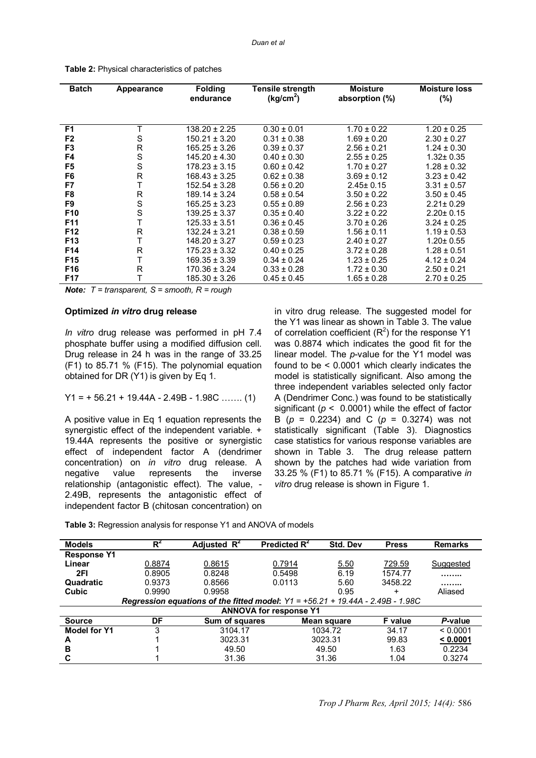| <b>Batch</b>    | Appearance | <b>Folding</b><br>endurance | Tensile strength<br>(kg/cm <sup>2</sup> ) | <b>Moisture</b><br>absorption (%) | <b>Moisture loss</b><br>(%) |
|-----------------|------------|-----------------------------|-------------------------------------------|-----------------------------------|-----------------------------|
|                 |            |                             |                                           |                                   |                             |
| F <sub>1</sub>  |            | $138.20 \pm 2.25$           | $0.30 \pm 0.01$                           | $1.70 \pm 0.22$                   | $1.20 \pm 0.25$             |
| F <sub>2</sub>  | S          | $150.21 \pm 3.20$           | $0.31 \pm 0.38$                           | $1.69 \pm 0.20$                   | $2.30 \pm 0.27$             |
| F <sub>3</sub>  | R          | $165.25 \pm 3.26$           | $0.39 \pm 0.37$                           | $2.56 \pm 0.21$                   | $1.24 \pm 0.30$             |
| F4              | S          | $145.20 \pm 4.30$           | $0.40 \pm 0.30$                           | $2.55 \pm 0.25$                   | $1.32 \pm 0.35$             |
| F5              | S          | $178.23 \pm 3.15$           | $0.60 \pm 0.42$                           | $1.70 \pm 0.27$                   | $1.28 \pm 0.32$             |
| F6              | R          | $168.43 \pm 3.25$           | $0.62 \pm 0.38$                           | $3.69 \pm 0.12$                   | $3.23 \pm 0.42$             |
| F7              | Т          | $152.54 \pm 3.28$           | $0.56 \pm 0.20$                           | $2.45 \pm 0.15$                   | $3.31 \pm 0.57$             |
| F <sub>8</sub>  | R          | $189.14 \pm 3.24$           | $0.58 \pm 0.54$                           | $3.50 \pm 0.22$                   | $3.50 \pm 0.45$             |
| F <sub>9</sub>  | S          | $165.25 + 3.23$             | $0.55 \pm 0.89$                           | $2.56 \pm 0.23$                   | $2.21 \pm 0.29$             |
| F <sub>10</sub> | S          | $139.25 \pm 3.37$           | $0.35 \pm 0.40$                           | $3.22 \pm 0.22$                   | $2.20 \pm 0.15$             |
| F11             |            | $125.33 \pm 3.51$           | $0.36 \pm 0.45$                           | $3.70 \pm 0.26$                   | $3.24 \pm 0.25$             |
| F <sub>12</sub> | R          | $132.24 \pm 3.21$           | $0.38 \pm 0.59$                           | $1.56 \pm 0.11$                   | $1.19 \pm 0.53$             |
| F <sub>13</sub> | Т          | $148.20 \pm 3.27$           | $0.59 \pm 0.23$                           | $2.40 \pm 0.27$                   | $1.20 \pm 0.55$             |
| F14             | R          | $175.23 \pm 3.32$           | $0.40 \pm 0.25$                           | $3.72 \pm 0.28$                   | $1.28 \pm 0.51$             |
| F15             |            | $169.35 \pm 3.39$           | $0.34 \pm 0.24$                           | $1.23 \pm 0.25$                   | $4.12 \pm 0.24$             |
| F <sub>16</sub> | R          | $170.36 \pm 3.24$           | $0.33 \pm 0.28$                           | $1.72 \pm 0.30$                   | $2.50 \pm 0.21$             |
| F17             |            | $185.30 \pm 3.26$           | $0.45 \pm 0.45$                           | $1.65 \pm 0.28$                   | $2.70 \pm 0.25$             |

**Table 2:** Physical characteristics of patches

*Note: T = transparent, S = smooth, R = rough*

#### **Optimized** *in vitro* **drug release**

*In vitro* drug release was performed in pH 7.4 phosphate buffer using a modified diffusion cell. Drug release in 24 h was in the range of 33.25 (F1) to 85.71 % (F15). The polynomial equation obtained for DR (Y1) is given by Eq 1.

$$
Y1 = +56.21 + 19.44A - 2.49B - 1.98C
$$
 ...... (1)

A positive value in Eq 1 equation represents the synergistic effect of the independent variable. + 19.44A represents the positive or synergistic effect of independent factor A (dendrimer concentration) on *in vitro* drug release. A negative value represents the inverse relationship (antagonistic effect). The value, - 2.49B, represents the antagonistic effect of independent factor B (chitosan concentration) on

in vitro drug release. The suggested model for the Y1 was linear as shown in Table 3. The value of correlation coefficient  $(R^2)$  for the response Y1 was 0.8874 which indicates the good fit for the linear model. The *p*-value for the Y1 model was found to be < 0.0001 which clearly indicates the model is statistically significant. Also among the three independent variables selected only factor A (Dendrimer Conc.) was found to be statistically significant ( $p < 0.0001$ ) while the effect of factor B (*p* = 0.2234) and C (*p* = 0.3274) was not statistically significant (Table 3). Diagnostics case statistics for various response variables are shown in Table 3. The drug release pattern shown by the patches had wide variation from 33.25 % (F1) to 85.71 % (F15). A comparative *in vitro* drug release is shown in Figure 1.

**Table 3:** Regression analysis for response Y1 and ANOVA of models

| <b>Models</b>                                                                    | $R^2$  | Adjusted $R^2$ | Predicted R <sup>2</sup> | Std. Dev    | <b>Press</b> | <b>Remarks</b> |  |  |
|----------------------------------------------------------------------------------|--------|----------------|--------------------------|-------------|--------------|----------------|--|--|
| <b>Response Y1</b>                                                               |        |                |                          |             |              |                |  |  |
| Linear                                                                           | 0.8874 | 0.8615         | 0.7914                   | 5.50        | 729.59       | Suggested      |  |  |
| 2FI                                                                              | 0.8905 | 0.8248         | 0.5498                   | 6.19        | 1574.77      |                |  |  |
| Quadratic                                                                        | 0.9373 | 0.8566         | 0.0113                   | 5.60        | 3458.22      |                |  |  |
| Cubic                                                                            | 0.9990 | 0.9958         |                          | 0.95        | $\ddot{}$    | Aliased        |  |  |
| Regression equations of the fitted model: $Y1 = +56.21 + 19.44A - 2.49B - 1.98C$ |        |                |                          |             |              |                |  |  |
| <b>ANNOVA for response Y1</b>                                                    |        |                |                          |             |              |                |  |  |
| <b>Source</b>                                                                    | DF     | Sum of squares |                          | Mean square | F value      | P-value        |  |  |
| <b>Model for Y1</b>                                                              | 3      | 3104.17        |                          | 1034.72     | 34.17        | < 0.0001       |  |  |
| A                                                                                |        | 3023.31        | 3023.31                  |             | 99.83        | < 0.0001       |  |  |
| в                                                                                |        | 49.50          | 49.50                    |             | 1.63         | 0.2234         |  |  |
|                                                                                  |        | 31.36          |                          | 31.36       | 1.04         | 0.3274         |  |  |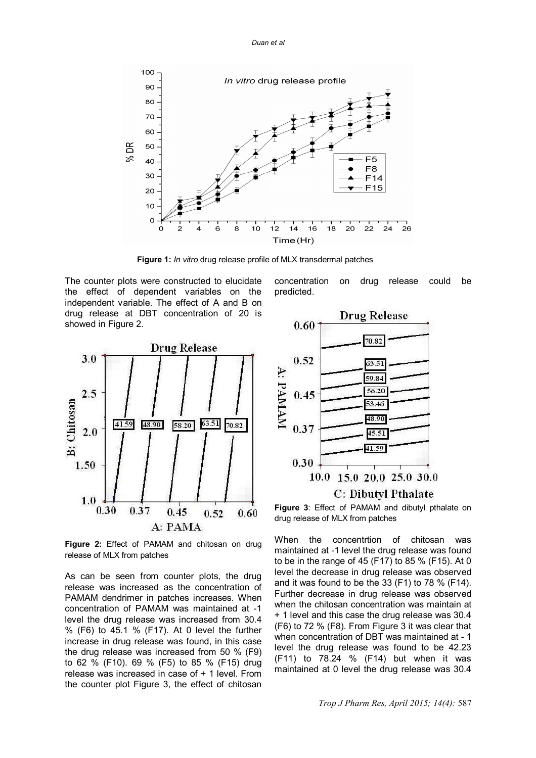

 **Figure 1:** *In vitro* drug release profile of MLX transdermal patches

The counter plots were constructed to elucidate the effect of dependent variables on the independent variable. The effect of A and B on drug release at DBT concentration of 20 is showed in Figure 2.



**Figure 2:** Effect of PAMAM and chitosan on drug release of MLX from patches

As can be seen from counter plots, the drug release was increased as the concentration of PAMAM dendrimer in patches increases. When concentration of PAMAM was maintained at -1 level the drug release was increased from 30.4 % (F6) to 45.1 % (F17). At 0 level the further increase in drug release was found, in this case the drug release was increased from 50 % (F9) to 62 % (F10). 69 % (F5) to 85 % (F15) drug release was increased in case of + 1 level. From the counter plot Figure 3, the effect of chitosan

concentration on drug release could be predicted.



**Figure 3**: Effect of PAMAM and dibutyl pthalate on drug release of MLX from patches

When the concentrtion of chitosan was maintained at -1 level the drug release was found to be in the range of 45 (F17) to 85 % (F15). At 0 level the decrease in drug release was observed and it was found to be the 33 (F1) to 78 % (F14). Further decrease in drug release was observed when the chitosan concentration was maintain at + 1 level and this case the drug release was 30.4 (F6) to 72 % (F8). From Figure 3 it was clear that when concentration of DBT was maintained at - 1 level the drug release was found to be 42.23 (F11) to 78.24 % (F14) but when it was maintained at 0 level the drug release was 30.4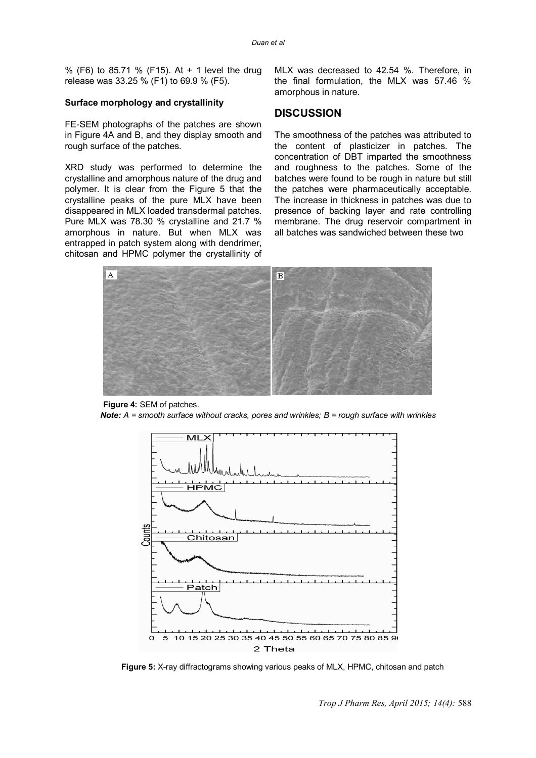% (F6) to 85.71 % (F15). At + 1 level the drug release was 33.25 % (F1) to 69.9 % (F5).

#### **Surface morphology and crystallinity**

FE-SEM photographs of the patches are shown in Figure 4A and B, and they display smooth and rough surface of the patches.

XRD study was performed to determine the crystalline and amorphous nature of the drug and polymer. It is clear from the Figure 5 that the crystalline peaks of the pure MLX have been disappeared in MLX loaded transdermal patches. Pure MLX was 78.30 % crystalline and 21.7 % amorphous in nature. But when MLX was entrapped in patch system along with dendrimer, chitosan and HPMC polymer the crystallinity of MLX was decreased to 42.54 %. Therefore, in the final formulation, the MLX was 57.46 % amorphous in nature.

### **DISCUSSION**

The smoothness of the patches was attributed to the content of plasticizer in patches. The concentration of DBT imparted the smoothness and roughness to the patches. Some of the batches were found to be rough in nature but still the patches were pharmaceutically acceptable. The increase in thickness in patches was due to presence of backing layer and rate controlling membrane. The drug reservoir compartment in all batches was sandwiched between these two



 **Figure 4:** SEM of patches. *Note: A = smooth surface without cracks, pores and wrinkles; B = rough surface with wrinkles*



 **Figure 5:** X-ray diffractograms showing various peaks of MLX, HPMC, chitosan and patch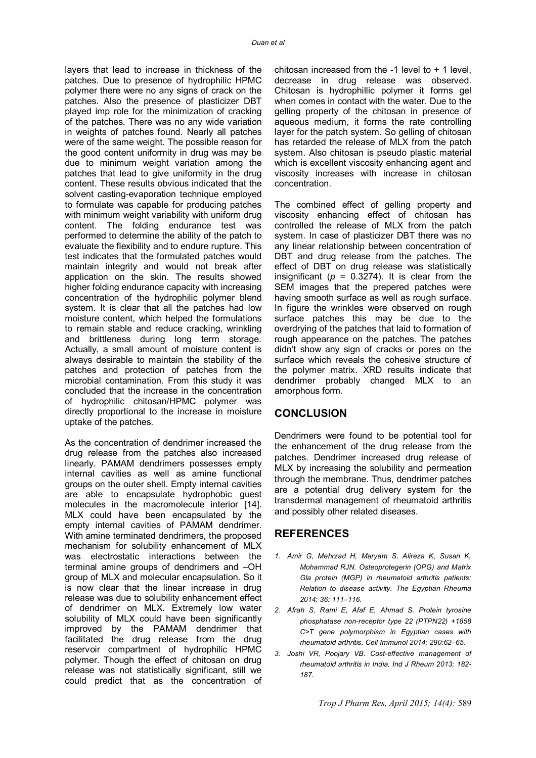layers that lead to increase in thickness of the patches. Due to presence of hydrophilic HPMC polymer there were no any signs of crack on the patches. Also the presence of plasticizer DBT played imp role for the minimization of cracking of the patches. There was no any wide variation in weights of patches found. Nearly all patches were of the same weight. The possible reason for the good content uniformity in drug was may be due to minimum weight variation among the patches that lead to give uniformity in the drug content. These results obvious indicated that the solvent casting-evaporation technique employed to formulate was capable for producing patches with minimum weight variability with uniform drug content. The folding endurance test was performed to determine the ability of the patch to evaluate the flexibility and to endure rupture. This test indicates that the formulated patches would maintain integrity and would not break after application on the skin. The results showed higher folding endurance capacity with increasing concentration of the hydrophilic polymer blend system. It is clear that all the patches had low moisture content, which helped the formulations to remain stable and reduce cracking, wrinkling and brittleness during long term storage. Actually, a small amount of moisture content is always desirable to maintain the stability of the patches and protection of patches from the microbial contamination. From this study it was concluded that the increase in the concentration of hydrophilic chitosan/HPMC polymer was directly proportional to the increase in moisture uptake of the patches.

As the concentration of dendrimer increased the drug release from the patches also increased linearly. PAMAM dendrimers possesses empty internal cavities as well as amine functional groups on the outer shell. Empty internal cavities are able to encapsulate hydrophobic guest molecules in the macromolecule interior [14]. MLX could have been encapsulated by the empty internal cavities of PAMAM dendrimer. With amine terminated dendrimers, the proposed mechanism for solubility enhancement of MLX was electrostatic interactions between the terminal amine groups of dendrimers and –OH group of MLX and molecular encapsulation. So it is now clear that the linear increase in drug release was due to solubility enhancement effect of dendrimer on MLX. Extremely low water solubility of MLX could have been significantly improved by the PAMAM dendrimer that facilitated the drug release from the drug reservoir compartment of hydrophilic HPMC polymer. Though the effect of chitosan on drug release was not statistically significant, still we could predict that as the concentration of

chitosan increased from the  $-1$  level to  $+1$  level, decrease in drug release was observed. Chitosan is hydrophillic polymer it forms gel when comes in contact with the water. Due to the gelling property of the chitosan in presence of aqueous medium, it forms the rate controlling layer for the patch system. So gelling of chitosan has retarded the release of MLX from the patch system. Also chitosan is pseudo plastic material which is excellent viscosity enhancing agent and viscosity increases with increase in chitosan concentration.

The combined effect of gelling property and viscosity enhancing effect of chitosan has controlled the release of MLX from the patch system. In case of plasticizer DBT there was no any linear relationship between concentration of DBT and drug release from the patches. The effect of DBT on drug release was statistically insignificant ( $p = 0.3274$ ). It is clear from the SEM images that the prepered patches were having smooth surface as well as rough surface. In figure the wrinkles were observed on rough surface patches this may be due to the overdrying of the patches that laid to formation of rough appearance on the patches. The patches didn't show any sign of cracks or pores on the surface which reveals the cohesive structure of the polymer matrix. XRD results indicate that dendrimer probably changed MLX to an amorphous form.

# **CONCLUSION**

Dendrimers were found to be potential tool for the enhancement of the drug release from the patches. Dendrimer increased drug release of MLX by increasing the solubility and permeation through the membrane. Thus, dendrimer patches are a potential drug delivery system for the transdermal management of rheumatoid arthritis and possibly other related diseases.

# **REFERENCES**

- *1. Amir G, Mehrzad H, Maryam S, Alireza K, Susan K, Mohammad RJN. Osteoprotegerin (OPG) and Matrix Gla protein (MGP) in rheumatoid arthritis patients: Relation to disease activity. The Egyptian Rheuma 2014; 36: 111–116.*
- *2. Afrah S, Rami E, Afaf E, Ahmad S. Protein tyrosine phosphatase non-receptor type 22 (PTPN22) +1858 C>T gene polymorphism in Egyptian cases with rheumatoid arthritis. Cell Immunol 2014; 290:62–65.*
- *3. Joshi VR, Poojary VB. Cost-effective management of rheumatoid arthritis in India. Ind J Rheum 2013; 182- 187.*